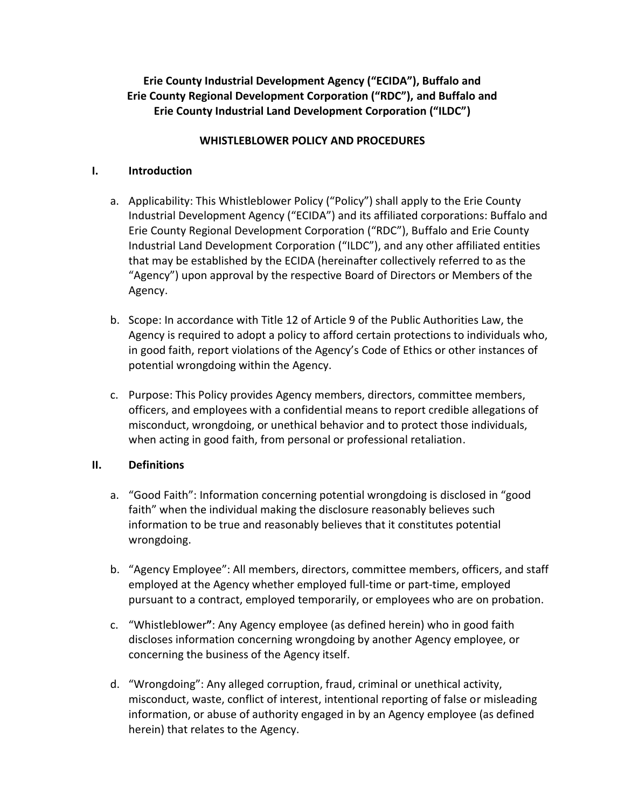# **Erie County Industrial Development Agency ("ECIDA"), Buffalo and Erie County Regional Development Corporation ("RDC"), and Buffalo and Erie County Industrial Land Development Corporation ("ILDC")**

### **WHISTLEBLOWER POLICY AND PROCEDURES**

#### **I. Introduction**

- a. Applicability: This Whistleblower Policy ("Policy") shall apply to the Erie County Industrial Development Agency ("ECIDA") and its affiliated corporations: Buffalo and Erie County Regional Development Corporation ("RDC"), Buffalo and Erie County Industrial Land Development Corporation ("ILDC"), and any other affiliated entities that may be established by the ECIDA (hereinafter collectively referred to as the "Agency") upon approval by the respective Board of Directors or Members of the Agency.
- b. Scope: In accordance with Title 12 of Article 9 of the Public Authorities Law, the Agency is required to adopt a policy to afford certain protections to individuals who, in good faith, report violations of the Agency's Code of Ethics or other instances of potential wrongdoing within the Agency.
- c. Purpose: This Policy provides Agency members, directors, committee members, officers, and employees with a confidential means to report credible allegations of misconduct, wrongdoing, or unethical behavior and to protect those individuals, when acting in good faith, from personal or professional retaliation.

#### **II. Definitions**

- a. "Good Faith": Information concerning potential wrongdoing is disclosed in "good faith" when the individual making the disclosure reasonably believes such information to be true and reasonably believes that it constitutes potential wrongdoing.
- b. "Agency Employee": All members, directors, committee members, officers, and staff employed at the Agency whether employed full-time or part-time, employed pursuant to a contract, employed temporarily, or employees who are on probation.
- c. "Whistleblower**"**: Any Agency employee (as defined herein) who in good faith discloses information concerning wrongdoing by another Agency employee, or concerning the business of the Agency itself.
- d. "Wrongdoing": Any alleged corruption, fraud, criminal or unethical activity, misconduct, waste, conflict of interest, intentional reporting of false or misleading information, or abuse of authority engaged in by an Agency employee (as defined herein) that relates to the Agency.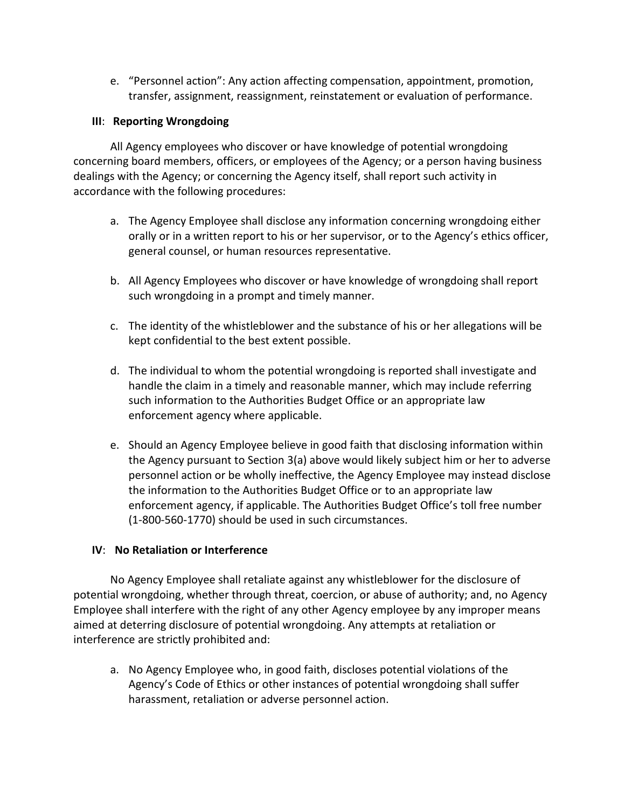e. "Personnel action": Any action affecting compensation, appointment, promotion, transfer, assignment, reassignment, reinstatement or evaluation of performance.

### **III**: **Reporting Wrongdoing**

All Agency employees who discover or have knowledge of potential wrongdoing concerning board members, officers, or employees of the Agency; or a person having business dealings with the Agency; or concerning the Agency itself, shall report such activity in accordance with the following procedures:

- a. The Agency Employee shall disclose any information concerning wrongdoing either orally or in a written report to his or her supervisor, or to the Agency's ethics officer, general counsel, or human resources representative.
- b. All Agency Employees who discover or have knowledge of wrongdoing shall report such wrongdoing in a prompt and timely manner.
- c. The identity of the whistleblower and the substance of his or her allegations will be kept confidential to the best extent possible.
- d. The individual to whom the potential wrongdoing is reported shall investigate and handle the claim in a timely and reasonable manner, which may include referring such information to the Authorities Budget Office or an appropriate law enforcement agency where applicable.
- e. Should an Agency Employee believe in good faith that disclosing information within the Agency pursuant to Section 3(a) above would likely subject him or her to adverse personnel action or be wholly ineffective, the Agency Employee may instead disclose the information to the Authorities Budget Office or to an appropriate law enforcement agency, if applicable. The Authorities Budget Office's toll free number (1-800-560-1770) should be used in such circumstances.

## **IV**: **No Retaliation or Interference**

No Agency Employee shall retaliate against any whistleblower for the disclosure of potential wrongdoing, whether through threat, coercion, or abuse of authority; and, no Agency Employee shall interfere with the right of any other Agency employee by any improper means aimed at deterring disclosure of potential wrongdoing. Any attempts at retaliation or interference are strictly prohibited and:

a. No Agency Employee who, in good faith, discloses potential violations of the Agency's Code of Ethics or other instances of potential wrongdoing shall suffer harassment, retaliation or adverse personnel action.